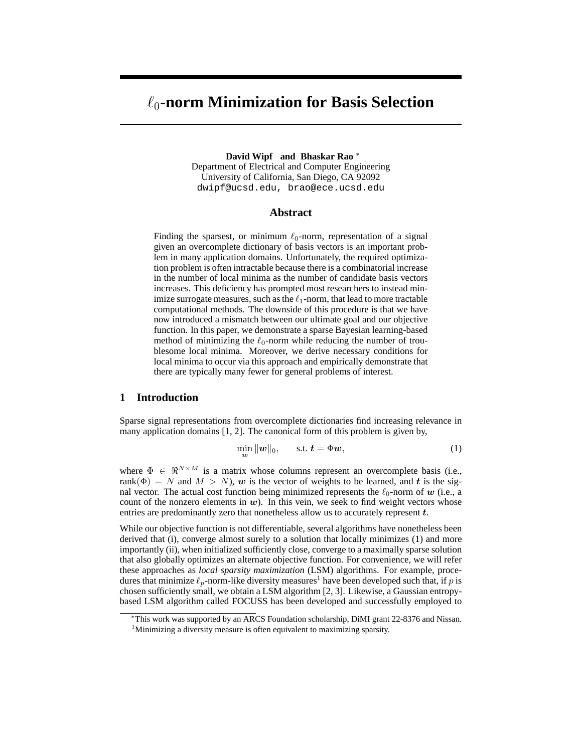# ℓ0**-norm Minimization for Basis Selection**

**David Wipf and Bhaskar Rao** <sup>∗</sup> Department of Electrical and Computer Engineering University of California, San Diego, CA 92092 dwipf@ucsd.edu, brao@ece.ucsd.edu

## **Abstract**

Finding the sparsest, or minimum  $\ell_0$ -norm, representation of a signal given an overcomplete dictionary of basis vectors is an important problem in many application domains. Unfortunately, the required optimization problem is often intractable because there is a combinatorial increase in the number of local minima as the number of candidate basis vectors increases. This deficiency has prompted most researchers to instead minimize surrogate measures, such as the  $\ell_1$ -norm, that lead to more tractable computational methods. The downside of this procedure is that we have now introduced a mismatch between our ultimate goal and our objective function. In this paper, we demonstrate a sparse Bayesian learning-based method of minimizing the  $\ell_0$ -norm while reducing the number of troublesome local minima. Moreover, we derive necessary conditions for local minima to occur via this approach and empirically demonstrate that there are typically many fewer for general problems of interest.

## **1 Introduction**

Sparse signal representations from overcomplete dictionaries find increasing relevance in many application domains [1, 2]. The canonical form of this problem is given by,

$$
\min_{\mathbf{w}} \|\mathbf{w}\|_0, \qquad \text{s.t. } \mathbf{t} = \Phi \mathbf{w}, \tag{1}
$$

where  $\Phi \in \mathbb{R}^{N \times M}$  is a matrix whose columns represent an overcomplete basis (i.e., rank( $\Phi$ ) = N and  $M > N$ ), w is the vector of weights to be learned, and t is the signal vector. The actual cost function being minimized represents the  $\ell_0$ -norm of w (i.e., a count of the nonzero elements in  $w$ ). In this vein, we seek to find weight vectors whose entries are predominantly zero that nonetheless allow us to accurately represent t.

While our objective function is not differentiable, several algorithms have nonetheless been derived that (i), converge almost surely to a solution that locally minimizes (1) and more importantly (ii), when initialized sufficiently close, converge to a maximally sparse solution that also globally optimizes an alternate objective function. For convenience, we will refer these approaches as *local sparsity maximization* (LSM) algorithms. For example, procedures that minimize  $\ell_p$ -norm-like diversity measures<sup>1</sup> have been developed such that, if p is chosen sufficiently small, we obtain a LSM algorithm [2, 3]. Likewise, a Gaussian entropybased LSM algorithm called FOCUSS has been developed and successfully employed to

<sup>∗</sup>This work was supported by an ARCS Foundation scholarship, DiMI grant 22-8376 and Nissan. <sup>1</sup>Minimizing a diversity measure is often equivalent to maximizing sparsity.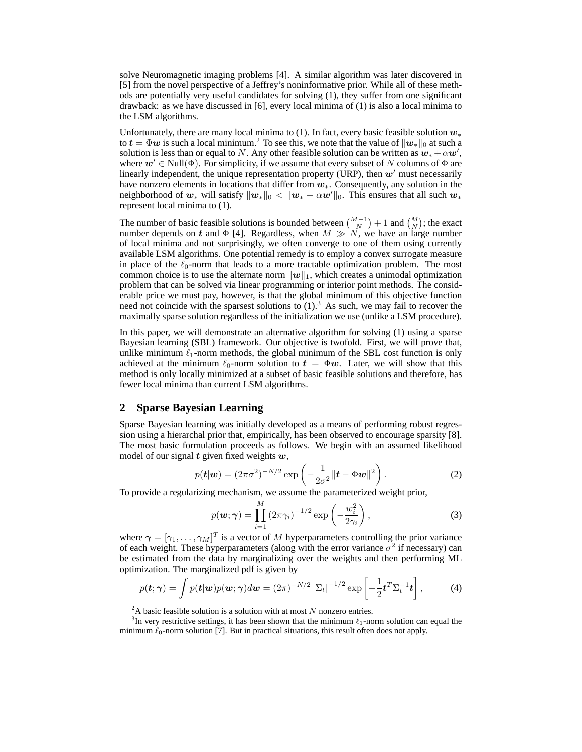solve Neuromagnetic imaging problems [4]. A similar algorithm was later discovered in [5] from the novel perspective of a Jeffrey's noninformative prior. While all of these methods are potentially very useful candidates for solving (1), they suffer from one significant drawback: as we have discussed in [6], every local minima of (1) is also a local minima to the LSM algorithms.

Unfortunately, there are many local minima to (1). In fact, every basic feasible solution  $w_*$ to  $t = \Phi w$  is such a local minimum.<sup>2</sup> To see this, we note that the value of  $||w_*||_0$  at such a solution is less than or equal to N. Any other feasible solution can be written as  $\bm{w}_* + \alpha \bm{w}'$ , where  $w' \in Null(\Phi)$ . For simplicity, if we assume that every subset of N columns of  $\Phi$  are linearly independent, the unique representation property (URP), then  $w'$  must necessarily have nonzero elements in locations that differ from  $w_{*}$ . Consequently, any solution in the neighborhood of  $w_*$  will satisfy  $\|\mathbf{w}_*\|_0 < \|\mathbf{w}_* + \alpha \mathbf{w}'\|_0$ . This ensures that all such  $w_*$ represent local minima to (1).

The number of basic feasible solutions is bounded between  $\binom{M-1}{N} + 1$  and  $\binom{M}{N}$ ; the exact number depends on t and  $\Phi$  [4]. Regardless, when  $M \gg N$ , we have an large number of local minima and not surprisingly, we often converge to one of them using currently available LSM algorithms. One potential remedy is to employ a convex surrogate measure in place of the  $\ell_0$ -norm that leads to a more tractable optimization problem. The most common choice is to use the alternate norm  $||w||_1$ , which creates a unimodal optimization problem that can be solved via linear programming or interior point methods. The considerable price we must pay, however, is that the global minimum of this objective function need not coincide with the sparsest solutions to  $(1)$ .<sup>3</sup> As such, we may fail to recover the maximally sparse solution regardless of the initialization we use (unlike a LSM procedure).

In this paper, we will demonstrate an alternative algorithm for solving (1) using a sparse Bayesian learning (SBL) framework. Our objective is twofold. First, we will prove that, unlike minimum  $\ell_1$ -norm methods, the global minimum of the SBL cost function is only achieved at the minimum  $\ell_0$ -norm solution to  $t = \Phi w$ . Later, we will show that this method is only locally minimized at a subset of basic feasible solutions and therefore, has fewer local minima than current LSM algorithms.

## **2 Sparse Bayesian Learning**

Sparse Bayesian learning was initially developed as a means of performing robust regression using a hierarchal prior that, empirically, has been observed to encourage sparsity [8]. The most basic formulation proceeds as follows. We begin with an assumed likelihood model of our signal  $t$  given fixed weights  $w$ ,

$$
p(\boldsymbol{t}|\boldsymbol{w}) = (2\pi\sigma^2)^{-N/2} \exp\left(-\frac{1}{2\sigma^2} \|\boldsymbol{t} - \boldsymbol{\Phi}\boldsymbol{w}\|^2\right).
$$
 (2)

To provide a regularizing mechanism, we assume the parameterized weight prior,

$$
p(\boldsymbol{w}; \boldsymbol{\gamma}) = \prod_{i=1}^{M} \left(2\pi\gamma_i\right)^{-1/2} \exp\left(-\frac{w_i^2}{2\gamma_i}\right),\tag{3}
$$

where  $\boldsymbol{\gamma} = [\gamma_1, \dots, \gamma_M]^T$  is a vector of M hyperparameters controlling the prior variance of each weight. These hyperparameters (along with the error variance  $\sigma^2$  if necessary) can be estimated from the data by marginalizing over the weights and then performing ML optimization. The marginalized pdf is given by

$$
p(\boldsymbol{t};\boldsymbol{\gamma}) = \int p(\boldsymbol{t}|\boldsymbol{w})p(\boldsymbol{w};\boldsymbol{\gamma})d\boldsymbol{w} = (2\pi)^{-N/2} |\Sigma_{\boldsymbol{t}}|^{-1/2} \exp\left[-\frac{1}{2}\boldsymbol{t}^T \Sigma_{\boldsymbol{t}}^{-1} \boldsymbol{t}\right],\tag{4}
$$

 ${}^{2}$ A basic feasible solution is a solution with at most N nonzero entries.

<sup>&</sup>lt;sup>3</sup>In very restrictive settings, it has been shown that the minimum  $\ell_1$ -norm solution can equal the minimum  $\ell_0$ -norm solution [7]. But in practical situations, this result often does not apply.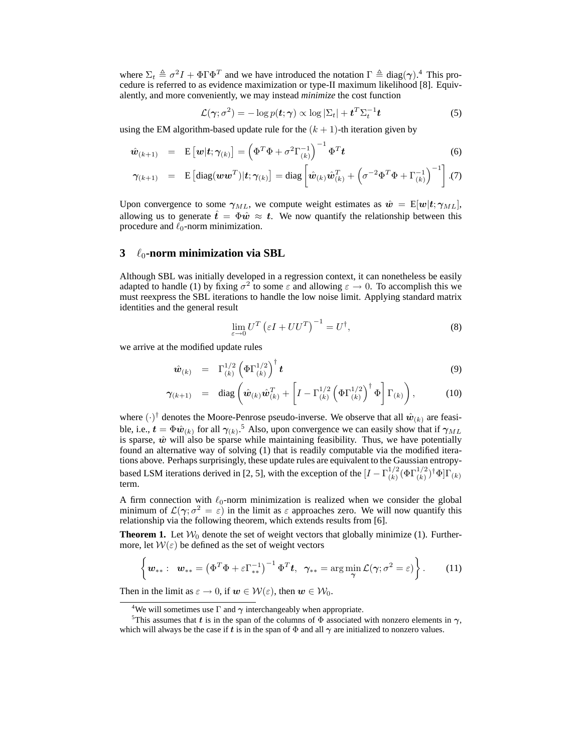where  $\Sigma_t \triangleq \sigma^2 I + \Phi \Gamma \Phi^T$  and we have introduced the notation  $\Gamma \triangleq diag(\gamma)$ .<sup>4</sup> This procedure is referred to as evidence maximization or type-II maximum likelihood [8]. Equivalently, and more conveniently, we may instead *minimize* the cost function

$$
\mathcal{L}(\gamma; \sigma^2) = -\log p(\mathbf{t}; \gamma) \propto \log |\Sigma_t| + \mathbf{t}^T \Sigma_t^{-1} \mathbf{t}
$$
\n(5)

using the EM algorithm-based update rule for the  $(k + 1)$ -th iteration given by

$$
\hat{\boldsymbol{w}}_{(k+1)} = \mathbf{E}\left[\boldsymbol{w}|\boldsymbol{t};\boldsymbol{\gamma}_{(k)}\right] = \left(\boldsymbol{\Phi}^T\boldsymbol{\Phi} + \sigma^2\boldsymbol{\Gamma}_{(k)}^{-1}\right)^{-1}\boldsymbol{\Phi}^T\boldsymbol{t}
$$
\n(6)

$$
\boldsymbol{\gamma}_{(k+1)} = \mathbf{E}\left[\mathrm{diag}(\boldsymbol{w}\boldsymbol{w}^T)|\boldsymbol{t}; \boldsymbol{\gamma}_{(k)}\right] = \mathrm{diag}\left[\hat{\boldsymbol{w}}_{(k)}\hat{\boldsymbol{w}}_{(k)}^T + \left(\sigma^{-2}\boldsymbol{\Phi}^T\boldsymbol{\Phi} + \boldsymbol{\Gamma}_{(k)}^{-1}\right)^{-1}\right].
$$
(7)

Upon convergence to some  $\gamma_{ML}$ , we compute weight estimates as  $\hat{w} = E[w|t; \gamma_{ML}]$ , allowing us to generate  $\hat{t} = \Phi \hat{w} \approx t$ . We now quantify the relationship between this procedure and  $\ell_0$ -norm minimization.

# **3** ℓ0**-norm minimization via SBL**

Although SBL was initially developed in a regression context, it can nonetheless be easily adapted to handle (1) by fixing  $\sigma^2$  to some  $\varepsilon$  and allowing  $\varepsilon \to 0$ . To accomplish this we must reexpress the SBL iterations to handle the low noise limit. Applying standard matrix identities and the general result

$$
\lim_{\varepsilon \to 0} U^T \left( \varepsilon I + U U^T \right)^{-1} = U^\dagger,\tag{8}
$$

we arrive at the modified update rules

$$
\hat{\boldsymbol{w}}_{(k)} = \Gamma_{(k)}^{1/2} \left( \Phi \Gamma_{(k)}^{1/2} \right)^{\dagger} \boldsymbol{t}
$$
\n(9)

$$
\gamma_{(k+1)} = \text{diag}\left(\hat{\boldsymbol{w}}_{(k)}\hat{\boldsymbol{w}}_{(k)}^T + \left[I - \Gamma_{(k)}^{1/2} \left(\Phi \Gamma_{(k)}^{1/2}\right)^{\dagger} \Phi\right] \Gamma_{(k)}\right), \quad (10)
$$

where  $(\cdot)^\dagger$  denotes the Moore-Penrose pseudo-inverse. We observe that all  $\hat{w}_{(k)}$  are feasible, i.e.,  $t = \Phi \hat{w}_{(k)}$  for all  $\gamma_{(k)}$ .<sup>5</sup> Also, upon convergence we can easily show that if  $\gamma_{ML}$ is sparse,  $\hat{w}$  will also be sparse while maintaining feasibility. Thus, we have potentially found an alternative way of solving (1) that is readily computable via the modified iterations above. Perhaps surprisingly, these update rules are equivalent to the Gaussian entropybased LSM iterations derived in [2, 5], with the exception of the  $[I - \Gamma_{(k)}^{1/2}]$  $\frac{1/2}{(k)}(\Phi\Gamma^{1/2}_{(k)})^\dagger\Phi]\Gamma_{(k)}$ term.

A firm connection with  $\ell_0$ -norm minimization is realized when we consider the global minimum of  $\mathcal{L}(\gamma; \sigma^2 = \varepsilon)$  in the limit as  $\varepsilon$  approaches zero. We will now quantify this relationship via the following theorem, which extends results from [6].

**Theorem 1.** Let  $W_0$  denote the set of weight vectors that globally minimize (1). Furthermore, let  $W(\varepsilon)$  be defined as the set of weight vectors

$$
\left\{ \boldsymbol{w}_{**}: \boldsymbol{w}_{**} = \left(\Phi^T \Phi + \varepsilon \Gamma_{**}^{-1}\right)^{-1} \Phi^T \boldsymbol{t}, \ \ \gamma_{**} = \arg\min_{\boldsymbol{\gamma}} \mathcal{L}(\boldsymbol{\gamma}; \sigma^2 = \varepsilon) \right\}.
$$
 (11)

Then in the limit as  $\varepsilon \to 0$ , if  $w \in \mathcal{W}(\varepsilon)$ , then  $w \in \mathcal{W}_0$ .

<sup>&</sup>lt;sup>4</sup>We will sometimes use  $\Gamma$  and  $\gamma$  interchangeably when appropriate.

<sup>&</sup>lt;sup>5</sup>This assumes that t is in the span of the columns of  $\Phi$  associated with nonzero elements in  $\gamma$ , which will always be the case if t is in the span of  $\Phi$  and all  $\gamma$  are initialized to nonzero values.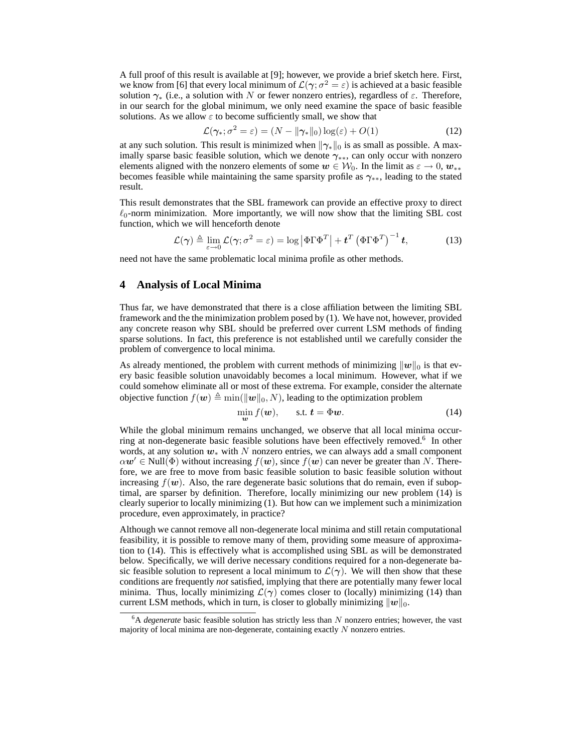A full proof of this result is available at [9]; however, we provide a brief sketch here. First, we know from [6] that every local minimum of  $\mathcal{L}(\gamma; \sigma^2 = \varepsilon)$  is achieved at a basic feasible solution  $\gamma_*$  (i.e., a solution with N or fewer nonzero entries), regardless of  $\varepsilon$ . Therefore, in our search for the global minimum, we only need examine the space of basic feasible solutions. As we allow  $\varepsilon$  to become sufficiently small, we show that

$$
\mathcal{L}(\gamma_*; \sigma^2 = \varepsilon) = (N - \|\gamma_*\|_0) \log(\varepsilon) + O(1)
$$
\n(12)

at any such solution. This result is minimized when  $\|\gamma_*\|_0$  is as small as possible. A maximally sparse basic feasible solution, which we denote  $\gamma_{**}$ , can only occur with nonzero elements aligned with the nonzero elements of some  $w \in W_0$ . In the limit as  $\varepsilon \to 0$ ,  $w_{**}$ becomes feasible while maintaining the same sparsity profile as  $\gamma_{**}$ , leading to the stated result.

This result demonstrates that the SBL framework can provide an effective proxy to direct  $\ell_0$ -norm minimization. More importantly, we will now show that the limiting SBL cost function, which we will henceforth denote

$$
\mathcal{L}(\gamma) \triangleq \lim_{\varepsilon \to 0} \mathcal{L}(\gamma; \sigma^2 = \varepsilon) = \log |\Phi \Gamma \Phi^T| + \mathbf{t}^T (\Phi \Gamma \Phi^T)^{-1} \mathbf{t}, \tag{13}
$$

need not have the same problematic local minima profile as other methods.

## **4 Analysis of Local Minima**

Thus far, we have demonstrated that there is a close affiliation between the limiting SBL framework and the the minimization problem posed by (1). We have not, however, provided any concrete reason why SBL should be preferred over current LSM methods of finding sparse solutions. In fact, this preference is not established until we carefully consider the problem of convergence to local minima.

As already mentioned, the problem with current methods of minimizing  $||w||_0$  is that every basic feasible solution unavoidably becomes a local minimum. However, what if we could somehow eliminate all or most of these extrema. For example, consider the alternate objective function  $f(\boldsymbol{w}) \triangleq \min(||\boldsymbol{w}||_0, N)$ , leading to the optimization problem

$$
\min_{\mathbf{w}} f(\mathbf{w}), \qquad \text{s.t. } \mathbf{t} = \Phi \mathbf{w}.\tag{14}
$$

While the global minimum remains unchanged, we observe that all local minima occurring at non-degenerate basic feasible solutions have been effectively removed.<sup>6</sup> In other words, at any solution  $w_*$  with N nonzero entries, we can always add a small component  $\alpha w' \in Null(\Phi)$  without increasing  $f(w)$ , since  $f(w)$  can never be greater than N. Therefore, we are free to move from basic feasible solution to basic feasible solution without increasing  $f(\mathbf{w})$ . Also, the rare degenerate basic solutions that do remain, even if suboptimal, are sparser by definition. Therefore, locally minimizing our new problem (14) is clearly superior to locally minimizing (1). But how can we implement such a minimization procedure, even approximately, in practice?

Although we cannot remove all non-degenerate local minima and still retain computational feasibility, it is possible to remove many of them, providing some measure of approximation to (14). This is effectively what is accomplished using SBL as will be demonstrated below. Specifically, we will derive necessary conditions required for a non-degenerate basic feasible solution to represent a local minimum to  $\mathcal{L}(\gamma)$ . We will then show that these conditions are frequently *not* satisfied, implying that there are potentially many fewer local minima. Thus, locally minimizing  $\mathcal{L}(\gamma)$  comes closer to (locally) minimizing (14) than current LSM methods, which in turn, is closer to globally minimizing  $||w||_0$ .

 $6A$  *degenerate* basic feasible solution has strictly less than N nonzero entries; however, the vast majority of local minima are non-degenerate, containing exactly N nonzero entries.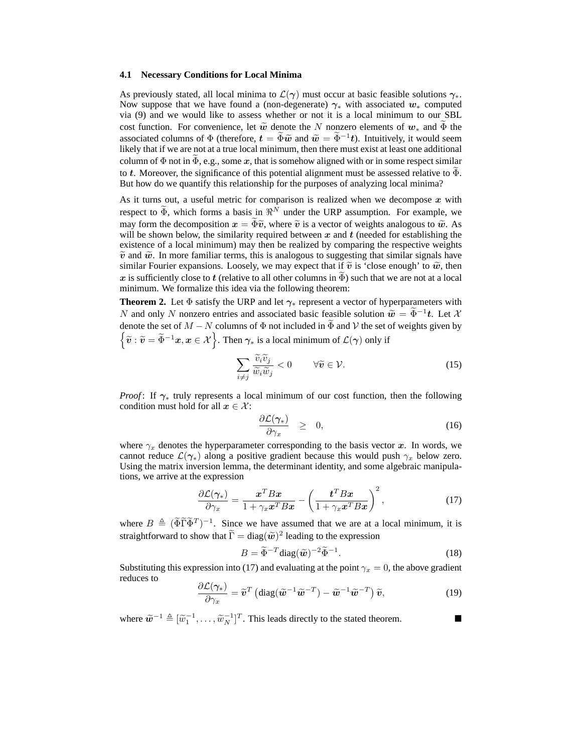#### **4.1 Necessary Conditions for Local Minima**

As previously stated, all local minima to  $\mathcal{L}(\gamma)$  must occur at basic feasible solutions  $\gamma_*$ . Now suppose that we have found a (non-degenerate)  $\gamma_*$  with associated  $w_*$  computed via (9) and we would like to assess whether or not it is a local minimum to our SBL cost function. For convenience, let  $\tilde{w}$  denote the N nonzero elements of  $w_*$  and  $\Phi$  the associated columns of  $\Phi$  (therefore,  $t = \tilde{\Phi}\tilde{w}$  and  $\tilde{w} = \tilde{\Phi}^{-1}t$ ). Intuitively, it would seem likely that if we are not at a true local minimum, then there must exist at least one additional column of  $\Phi$  not in  $\Phi$ , e.g., some x, that is somehow aligned with or in some respect similar to t. Moreover, the significance of this potential alignment must be assessed relative to  $\Phi$ . But how do we quantify this relationship for the purposes of analyzing local minima?

As it turns out, a useful metric for comparison is realized when we decompose  $x$  with respect to  $\Phi$ , which forms a basis in  $\mathbb{R}^N$  under the URP assumption. For example, we may form the decomposition  $x = \tilde{\Phi}\tilde{v}$ , where  $\tilde{v}$  is a vector of weights analogous to  $\tilde{w}$ . As will be shown below, the similarity required between  $x$  and  $t$  (needed for establishing the existence of a local minimum) may then be realized by comparing the respective weights  $\tilde{v}$  and  $\tilde{w}$ . In more familiar terms, this is analogous to suggesting that similar signals have similar Fourier expansions. Loosely, we may expect that if  $\tilde{v}$  is 'close enough' to  $\tilde{w}$ , then x is sufficiently close to t (relative to all other columns in  $\Phi$ ) such that we are not at a local minimum. We formalize this idea via the following theorem:

**Theorem 2.** Let  $\Phi$  satisfy the URP and let  $\gamma_*$  represent a vector of hyperparameters with N and only N nonzero entries and associated basic feasible solution  $\widetilde{w} = \widetilde{\Phi}^{-1}t$ . Let X denote the set of  $M - N$  columns of  $\Phi$  not included in  $\widetilde{\Phi}$  and  $\mathcal V$  the set of weights given by  $\{\widetilde{v}: \widetilde{v}=\widetilde{\Phi}^{-1}x, x\in \mathcal{X}\big\}$ . Then  $\gamma_*$  is a local minimum of  $\mathcal{L}(\gamma)$  only if

$$
\sum_{i \neq j} \frac{\widetilde{v}_i \widetilde{v}_j}{\widetilde{w}_i \widetilde{w}_j} < 0 \qquad \forall \widetilde{\mathbf{v}} \in \mathcal{V}. \tag{15}
$$

*Proof*: If  $\gamma_*$  truly represents a local minimum of our cost function, then the following condition must hold for all  $x \in \mathcal{X}$ :

$$
\frac{\partial \mathcal{L}(\gamma_*)}{\partial \gamma_x} \quad \geq \quad 0,\tag{16}
$$

where  $\gamma_x$  denotes the hyperparameter corresponding to the basis vector x. In words, we cannot reduce  $\mathcal{L}(\gamma_*)$  along a positive gradient because this would push  $\gamma_x$  below zero. Using the matrix inversion lemma, the determinant identity, and some algebraic manipulations, we arrive at the expression

$$
\frac{\partial \mathcal{L}(\gamma_*)}{\partial \gamma_x} = \frac{\boldsymbol{x}^T B \boldsymbol{x}}{1 + \gamma_x \boldsymbol{x}^T B \boldsymbol{x}} - \left(\frac{\boldsymbol{t}^T B \boldsymbol{x}}{1 + \gamma_x \boldsymbol{x}^T B \boldsymbol{x}}\right)^2,\tag{17}
$$

where  $B \triangleq (\tilde{\Phi} \tilde{\Gamma} \tilde{\Phi}^T)^{-1}$ . Since we have assumed that we are at a local minimum, it is straightforward to show that  $\overline{\Gamma} = \text{diag}(\tilde{\boldsymbol{w}})^2$  leading to the expression

$$
B = \widetilde{\Phi}^{-T} \text{diag}(\widetilde{\boldsymbol{w}})^{-2} \widetilde{\Phi}^{-1}.
$$
 (18)

Substituting this expression into (17) and evaluating at the point  $\gamma_x = 0$ , the above gradient reduces to

$$
\frac{\partial \mathcal{L}(\gamma_*)}{\partial \gamma_x} = \widetilde{\mathbf{v}}^T \left( \mathrm{diag}(\widetilde{\mathbf{w}}^{-1} \widetilde{\mathbf{w}}^{-T}) - \widetilde{\mathbf{w}}^{-1} \widetilde{\mathbf{w}}^{-T} \right) \widetilde{\mathbf{v}},\tag{19}
$$

where  $\widetilde{\boldsymbol{w}}^{-1} \triangleq [\widetilde{w}_1^{-1}, \dots, \widetilde{w}_N^{-1}]^T$ . This leads directly to the stated theorem.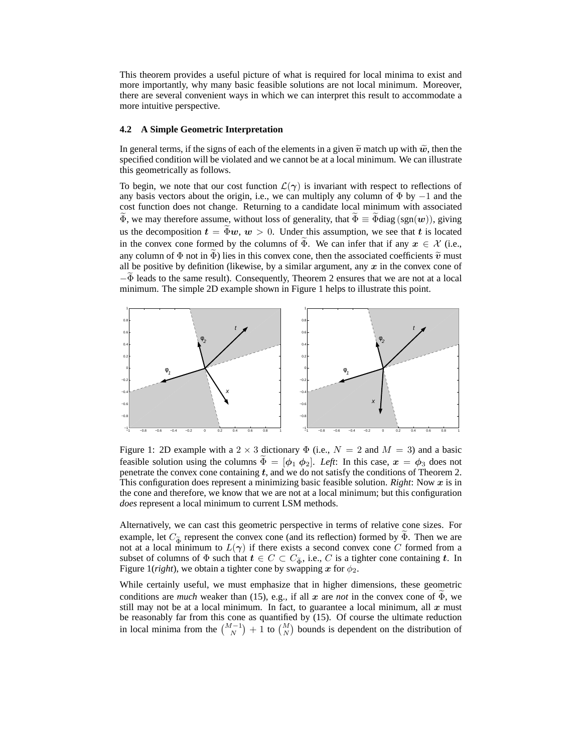This theorem provides a useful picture of what is required for local minima to exist and more importantly, why many basic feasible solutions are not local minimum. Moreover, there are several convenient ways in which we can interpret this result to accommodate a more intuitive perspective.

### **4.2 A Simple Geometric Interpretation**

In general terms, if the signs of each of the elements in a given  $\tilde{v}$  match up with  $\tilde{w}$ , then the specified condition will be violated and we cannot be at a local minimum. We can illustrate this geometrically as follows.

To begin, we note that our cost function  $\mathcal{L}(\gamma)$  is invariant with respect to reflections of any basis vectors about the origin, i.e., we can multiply any column of  $\Phi$  by  $-1$  and the cost function does not change. Returning to a candidate local minimum with associated  $\widetilde{\Phi}$ , we may therefore assume, without loss of generality, that  $\widetilde{\Phi} \equiv \widetilde{\Phi}$ diag (sgn(w)), giving us the decomposition  $t = \tilde{\Phi}w, w > 0$ . Under this assumption, we see that t is located in the convex cone formed by the columns of  $\Phi$ . We can infer that if any  $x \in \mathcal{X}$  (i.e., any column of  $\Phi$  not in  $\bar{\Phi}$ ) lies in this convex cone, then the associated coefficients  $\tilde{v}$  must all be positive by definition (likewise, by a similar argument, any  $x$  in the convex cone of  $-\Phi$  leads to the same result). Consequently, Theorem 2 ensures that we are not at a local minimum. The simple 2D example shown in Figure 1 helps to illustrate this point.



Figure 1: 2D example with a 2  $\times$  3 dictionary  $\Phi$  (i.e.,  $N = 2$  and  $M = 3$ ) and a basic feasible solution using the columns  $\Phi = [\phi_1 \phi_2]$ . Left: In this case,  $x = \phi_3$  does not penetrate the convex cone containing  $t$ , and we do not satisfy the conditions of Theorem 2. This configuration does represent a minimizing basic feasible solution. *Right*: Now  $x$  is in the cone and therefore, we know that we are not at a local minimum; but this configuration *does* represent a local minimum to current LSM methods.

Alternatively, we can cast this geometric perspective in terms of relative cone sizes. For example, let  $C_{\tilde{\Phi}}$  represent the convex cone (and its reflection) formed by  $\Phi$ . Then we are not at a local minimum to  $L(\gamma)$  if there exists a second convex cone C formed from a subset of columns of  $\Phi$  such that  $t \in C \subset C_{\tilde{\Phi}}$ , i.e., C is a tighter cone containing t. In Figure 1(*right*), we obtain a tighter cone by swapping x for  $\phi_2$ .

While certainly useful, we must emphasize that in higher dimensions, these geometric conditions are *much* weaker than (15), e.g., if all x are *not* in the convex cone of  $\Phi$ , we still may not be at a local minimum. In fact, to guarantee a local minimum, all  $x$  must be reasonably far from this cone as quantified by (15). Of course the ultimate reduction in local minima from the  $\binom{M-1}{N}$  + 1 to  $\binom{M}{N}$  bounds is dependent on the distribution of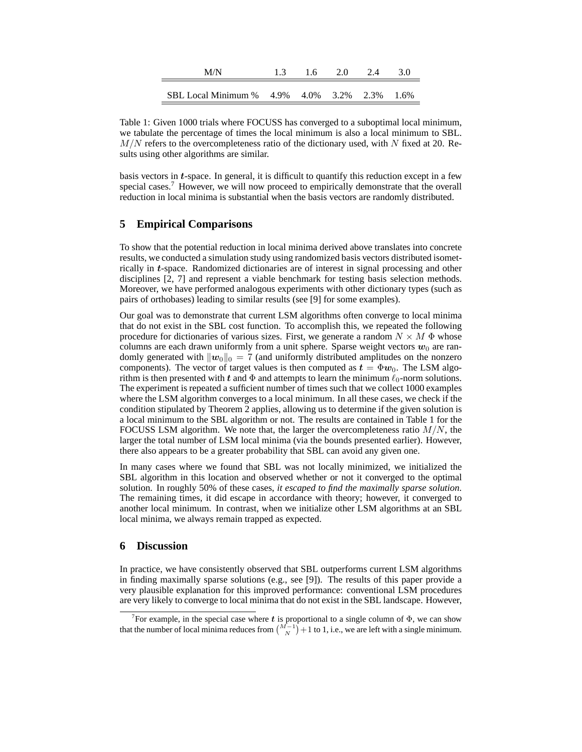| M/N                                     | 1.6 | 20 | 2.4 | 3.0  |
|-----------------------------------------|-----|----|-----|------|
| SBL Local Minimum % 4.9% 4.0% 3.2% 2.3% |     |    |     | 1.6% |

Table 1: Given 1000 trials where FOCUSS has converged to a suboptimal local minimum, we tabulate the percentage of times the local minimum is also a local minimum to SBL.  $M/N$  refers to the overcompleteness ratio of the dictionary used, with N fixed at 20. Results using other algorithms are similar.

basis vectors in t-space. In general, it is difficult to quantify this reduction except in a few special cases.<sup>7</sup> However, we will now proceed to empirically demonstrate that the overall reduction in local minima is substantial when the basis vectors are randomly distributed.

# **5 Empirical Comparisons**

To show that the potential reduction in local minima derived above translates into concrete results, we conducted a simulation study using randomized basis vectors distributed isometrically in t-space. Randomized dictionaries are of interest in signal processing and other disciplines [2, 7] and represent a viable benchmark for testing basis selection methods. Moreover, we have performed analogous experiments with other dictionary types (such as pairs of orthobases) leading to similar results (see [9] for some examples).

Our goal was to demonstrate that current LSM algorithms often converge to local minima that do not exist in the SBL cost function. To accomplish this, we repeated the following procedure for dictionaries of various sizes. First, we generate a random  $N \times M \Phi$  whose columns are each drawn uniformly from a unit sphere. Sparse weight vectors  $w_0$  are randomly generated with  $\|\boldsymbol{w}_0\|_0 = 7$  (and uniformly distributed amplitudes on the nonzero components). The vector of target values is then computed as  $t = \Phi w_0$ . The LSM algorithm is then presented with t and  $\Phi$  and attempts to learn the minimum  $\ell_0$ -norm solutions. The experiment is repeated a sufficient number of times such that we collect 1000 examples where the LSM algorithm converges to a local minimum. In all these cases, we check if the condition stipulated by Theorem 2 applies, allowing us to determine if the given solution is a local minimum to the SBL algorithm or not. The results are contained in Table 1 for the FOCUSS LSM algorithm. We note that, the larger the overcompleteness ratio  $M/N$ , the larger the total number of LSM local minima (via the bounds presented earlier). However, there also appears to be a greater probability that SBL can avoid any given one.

In many cases where we found that SBL was not locally minimized, we initialized the SBL algorithm in this location and observed whether or not it converged to the optimal solution. In roughly 50% of these cases, *it escaped to find the maximally sparse solution*. The remaining times, it did escape in accordance with theory; however, it converged to another local minimum. In contrast, when we initialize other LSM algorithms at an SBL local minima, we always remain trapped as expected.

# **6 Discussion**

In practice, we have consistently observed that SBL outperforms current LSM algorithms in finding maximally sparse solutions (e.g., see [9]). The results of this paper provide a very plausible explanation for this improved performance: conventional LSM procedures are very likely to converge to local minima that do not exist in the SBL landscape. However,

<sup>&</sup>lt;sup>7</sup> For example, in the special case where t is proportional to a single column of  $\Phi$ , we can show that the number of local minima reduces from  $\binom{M-1}{N}+1$  to 1, i.e., we are left with a single minimum.